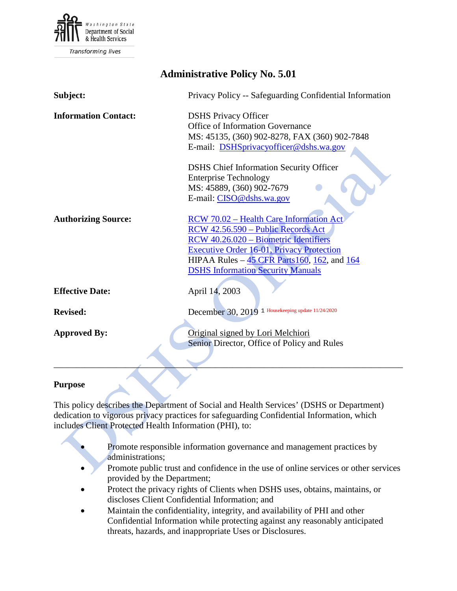

| <b>Administrative Policy No. 5.01</b> |                                                                                                                                                                                                                                                                        |
|---------------------------------------|------------------------------------------------------------------------------------------------------------------------------------------------------------------------------------------------------------------------------------------------------------------------|
| Subject:                              | Privacy Policy -- Safeguarding Confidential Information                                                                                                                                                                                                                |
| <b>Information Contact:</b>           | <b>DSHS Privacy Officer</b><br><b>Office of Information Governance</b><br>MS: 45135, (360) 902-8278, FAX (360) 902-7848<br>E-mail: DSHSprivacyofficer@dshs.wa.gov                                                                                                      |
|                                       | <b>DSHS</b> Chief Information Security Officer<br><b>Enterprise Technology</b><br>MS: 45889, (360) 902-7679<br>E-mail: CISO@dshs.wa.gov                                                                                                                                |
| <b>Authorizing Source:</b>            | RCW 70.02 - Health Care Information Act<br>RCW 42.56.590 - Public Records Act<br>RCW 40.26.020 - Biometric Identifiers<br><b>Executive Order 16-01, Privacy Protection</b><br>HIPAA Rules - 45 CFR Parts 160, 162, and 164<br><b>DSHS Information Security Manuals</b> |
| <b>Effective Date:</b>                | April 14, 2003                                                                                                                                                                                                                                                         |
| <b>Revised:</b>                       | December 30, 2019 1 Housekeeping update 11/24/2020                                                                                                                                                                                                                     |
| <b>Approved By:</b>                   | Original signed by Lori Melchiori<br>Senior Director, Office of Policy and Rules                                                                                                                                                                                       |

### **Purpose**

This policy describes the Department of Social and Health Services' (DSHS or Department) dedication to vigorous privacy practices for safeguarding Confidential Information, which includes Client Protected Health Information (PHI), to:

- Promote responsible information governance and management practices by administrations;
- Promote public trust and confidence in the use of online services or other services provided by the Department;
- Protect the privacy rights of Clients when DSHS uses, obtains, maintains, or discloses Client Confidential Information; and
- Maintain the confidentiality, integrity, and availability of PHI and other Confidential Information while protecting against any reasonably anticipated threats, hazards, and inappropriate Uses or Disclosures.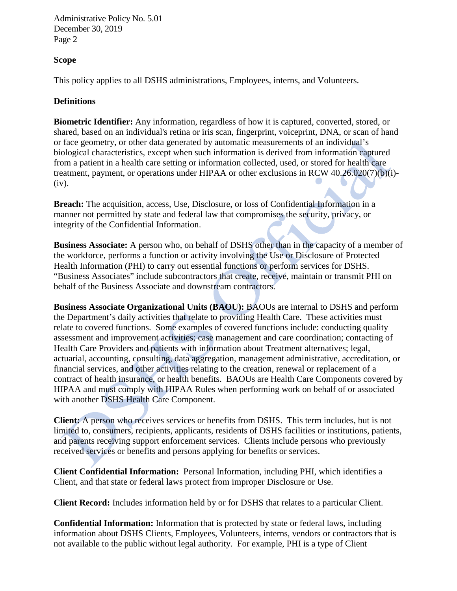## **Scope**

This policy applies to all DSHS administrations, Employees, interns, and Volunteers.

### **Definitions**

**Biometric Identifier:** Any information, regardless of how it is captured, converted, stored, or shared, based on an individual's retina or iris scan, fingerprint, voiceprint, DNA, or scan of hand or face geometry, or other data generated by automatic measurements of an individual's biological characteristics, except when such information is derived from information captured from a patient in a health care setting or information collected, used, or stored for health care treatment, payment, or operations under HIPAA or other exclusions in RCW 40.26.020(7)(b)(i)- (iv).

**Breach:** The acquisition, access, Use, Disclosure, or loss of Confidential Information in a manner not permitted by state and federal law that compromises the security, privacy, or integrity of the Confidential Information.

**Business Associate:** A person who, on behalf of DSHS other than in the capacity of a member of the workforce, performs a function or activity involving the Use or Disclosure of Protected Health Information (PHI) to carry out essential functions or perform services for DSHS. "Business Associates" include subcontractors that create, receive, maintain or transmit PHI on behalf of the Business Associate and downstream contractors.

**Business Associate Organizational Units (BAOU):** BAOUs are internal to DSHS and perform the Department's daily activities that relate to providing Health Care. These activities must relate to covered functions. Some examples of covered functions include: conducting quality assessment and improvement activities; case management and care coordination; contacting of Health Care Providers and patients with information about Treatment alternatives; legal, actuarial, accounting, consulting, data aggregation, management administrative, accreditation, or financial services, and other activities relating to the creation, renewal or replacement of a contract of health insurance, or health benefits. BAOUs are Health Care Components covered by HIPAA and must comply with HIPAA Rules when performing work on behalf of or associated with another DSHS Health Care Component.

**Client:** A person who receives services or benefits from DSHS. This term includes, but is not limited to, consumers, recipients, applicants, residents of DSHS facilities or institutions, patients, and parents receiving support enforcement services. Clients include persons who previously received services or benefits and persons applying for benefits or services.

**Client Confidential Information:** Personal Information, including PHI, which identifies a Client, and that state or federal laws protect from improper Disclosure or Use.

**Client Record:** Includes information held by or for DSHS that relates to a particular Client.

**Confidential Information:** Information that is protected by state or federal laws, including information about DSHS Clients, Employees, Volunteers, interns, vendors or contractors that is not available to the public without legal authority. For example, PHI is a type of Client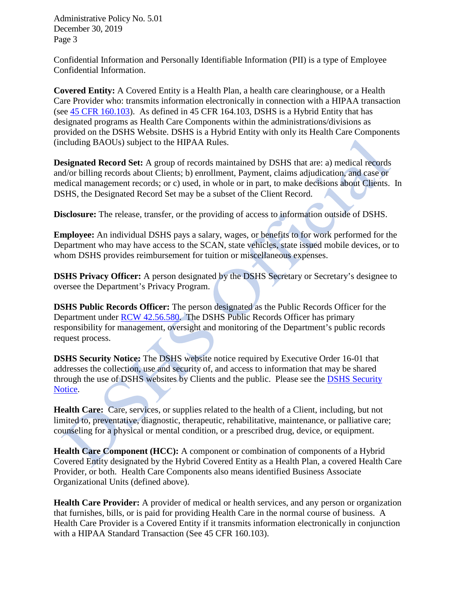Confidential Information and Personally Identifiable Information (PII) is a type of Employee Confidential Information.

**Covered Entity:** A Covered Entity is a Health Plan, a health care clearinghouse, or a Health Care Provider who: transmits information electronically in connection with a HIPAA transaction (see [45 CFR 160.103\)](http://www.ecfr.gov/cgi-bin/text-idx?SID=514bad6e2f27a42e8e07ea6c66db3592&node=se45.1.160_1103&rgn=div8). As defined in 45 CFR 164.103, DSHS is a Hybrid Entity that has designated programs as Health Care Components within the administrations/divisions as provided on the DSHS Website. DSHS is a Hybrid Entity with only its Health Care Components (including BAOUs) subject to the HIPAA Rules.

**Designated Record Set:** A group of records maintained by DSHS that are: a) medical records and/or billing records about Clients; b) enrollment, Payment, claims adjudication, and case or medical management records; or c) used, in whole or in part, to make decisions about Clients. In DSHS, the Designated Record Set may be a subset of the Client Record.

**Disclosure:** The release, transfer, or the providing of access to information outside of DSHS.

**Employee:** An individual DSHS pays a salary, wages, or benefits to for work performed for the Department who may have access to the SCAN, state vehicles, state issued mobile devices, or to whom DSHS provides reimbursement for tuition or miscellaneous expenses.

**DSHS Privacy Officer:** A person designated by the DSHS Secretary or Secretary's designee to oversee the Department's Privacy Program.

**DSHS Public Records Officer:** The person designated as the Public Records Officer for the Department under [RCW 42.56.580.](https://www.google.com/url?sa=t&rct=j&q=&esrc=s&source=web&cd=1&cad=rja&uact=8&ved=0CB4QFjAA&url=http%3A%2F%2Fapp.leg.wa.gov%2Frcw%2Fdefault.aspx%3Fcite%3D42.56.580&ei=07JbVJ-0Nsu5ogSEroDQCg&usg=AFQjCNHeslthsvg-fGW3k7LCRwCnODPKug&bvm=bv.79184187,bs.1,d.cGE) The DSHS Public Records Officer has primary responsibility for management, oversight and monitoring of the Department's public records request process.

**DSHS Security Notice:** The DSHS website notice required by Executive Order 16-01 that addresses the collection, use and security of, and access to information that may be shared through the use of DSHS websites by Clients and the public. Please see the [DSHS Security](https://www.dshs.wa.gov/security-notice)  [Notice.](https://www.dshs.wa.gov/security-notice)

**Health Care:** Care, services, or supplies related to the health of a Client, including, but not limited to, preventative, diagnostic, therapeutic, rehabilitative, maintenance, or palliative care; counseling for a physical or mental condition, or a prescribed drug, device, or equipment.

**Health Care Component (HCC):** A component or combination of components of a Hybrid Covered Entity designated by the Hybrid Covered Entity as a Health Plan, a covered Health Care Provider, or both. Health Care Components also means identified Business Associate Organizational Units (defined above).

**Health Care Provider:** A provider of medical or health services, and any person or organization that furnishes, bills, or is paid for providing Health Care in the normal course of business. A Health Care Provider is a Covered Entity if it transmits information electronically in conjunction with a HIPAA Standard Transaction (See 45 CFR 160.103).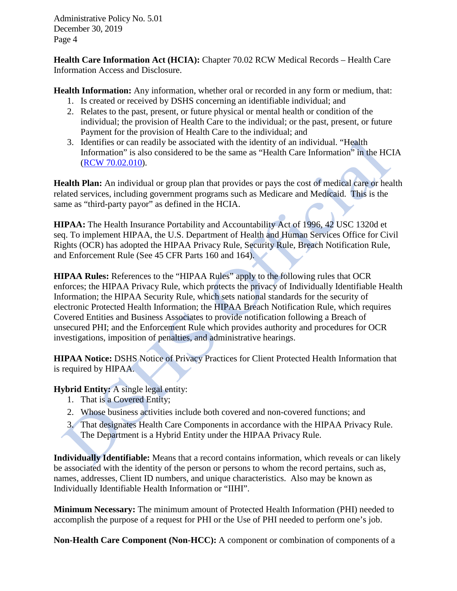**Health Care Information Act (HCIA):** Chapter 70.02 RCW Medical Records – Health Care Information Access and Disclosure.

**Health Information:** Any information, whether oral or recorded in any form or medium, that:

- 1. Is created or received by DSHS concerning an identifiable individual; and
- 2. Relates to the past, present, or future physical or mental health or condition of the individual; the provision of Health Care to the individual; or the past, present, or future Payment for the provision of Health Care to the individual; and
- 3. Identifies or can readily be associated with the identity of an individual. "Health Information" is also considered to be the same as "Health Care Information" in the HCIA [\(RCW 70.02.010\)](http://app.leg.wa.gov/RCW/default.aspx?cite=70.02.010).

**Health Plan:** An individual or group plan that provides or pays the cost of medical care or health related services, including government programs such as Medicare and Medicaid. This is the same as "third-party payor" as defined in the HCIA.

**HIPAA:** The Health Insurance Portability and Accountability Act of 1996, 42 USC 1320d et seq. To implement HIPAA, the U.S. Department of Health and Human Services Office for Civil Rights (OCR) has adopted the HIPAA Privacy Rule, Security Rule, Breach Notification Rule, and Enforcement Rule (See 45 CFR Parts 160 and 164).

**HIPAA Rules:** References to the "HIPAA Rules" apply to the following rules that OCR enforces; the HIPAA Privacy Rule, which protects the privacy of Individually Identifiable Health Information; the HIPAA Security Rule, which sets national standards for the security of electronic Protected Health Information; the HIPAA Breach Notification Rule, which requires Covered Entities and Business Associates to provide notification following a Breach of unsecured PHI; and the Enforcement Rule which provides authority and procedures for OCR investigations, imposition of penalties, and administrative hearings.

**HIPAA Notice:** DSHS Notice of Privacy Practices for Client Protected Health Information that is required by HIPAA.

**Hybrid Entity:** A single legal entity:

- 1. That is a Covered Entity;
- 2. Whose business activities include both covered and non-covered functions; and
- 3. That designates Health Care Components in accordance with the HIPAA Privacy Rule. The Department is a Hybrid Entity under the HIPAA Privacy Rule.

**Individually Identifiable:** Means that a record contains information, which reveals or can likely be associated with the identity of the person or persons to whom the record pertains, such as, names, addresses, Client ID numbers, and unique characteristics. Also may be known as Individually Identifiable Health Information or "IIHI".

**Minimum Necessary:** The minimum amount of Protected Health Information (PHI) needed to accomplish the purpose of a request for PHI or the Use of PHI needed to perform one's job.

**Non-Health Care Component (Non-HCC):** A component or combination of components of a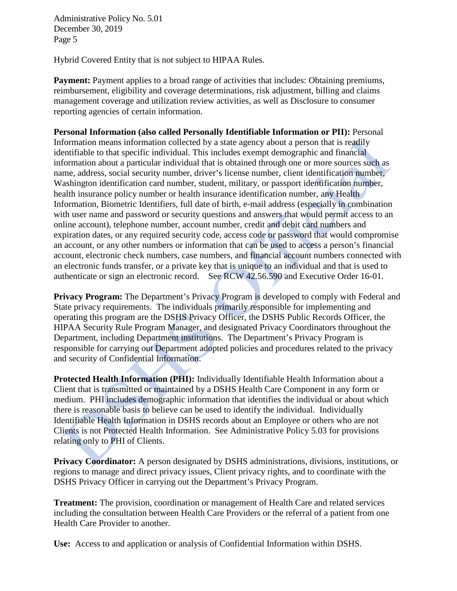Hybrid Covered Entity that is not subject to HIPAA Rules.

**Payment:** Payment applies to a broad range of activities that includes: Obtaining premiums, reimbursement, eligibility and coverage determinations, risk adjustment, billing and claims management coverage and utilization review activities, as well as Disclosure to consumer reporting agencies of certain information.

**Personal Information (also called Personally Identifiable Information or PII):** Personal Information means information collected by a state agency about a person that is readily identifiable to that specific individual. This includes exempt demographic and financial information about a particular individual that is obtained through one or more sources such as name, address, social security number, driver's license number, client identification number, Washington identification card number, student, military, or passport identification number, health insurance policy number or health insurance identification number, any Health Information, Biometric Identifiers, full date of birth, e-mail address (especially in combination with user name and password or security questions and answers that would permit access to an online account), telephone number, account number, credit and debit card numbers and expiration dates, or any required security code, access code or password that would compromise an account, or any other numbers or information that can be used to access a person's financial account, electronic check numbers, case numbers, and financial account numbers connected with an electronic funds transfer, or a private key that is unique to an individual and that is used to authenticate or sign an electronic record. See RCW 42.56.590 and Executive Order 16-01.

**Privacy Program:** The Department's Privacy Program is developed to comply with Federal and State privacy requirements. The individuals primarily responsible for implementing and operating this program are the DSHS Privacy Officer, the DSHS Public Records Officer, the HIPAA Security Rule Program Manager, and designated Privacy Coordinators throughout the Department, including Department institutions. The Department's Privacy Program is responsible for carrying out Department adopted policies and procedures related to the privacy and security of Confidential Information.

**Protected Health Information (PHI):** Individually Identifiable Health Information about a Client that is transmitted or maintained by a DSHS Health Care Component in any form or medium. PHI includes demographic information that identifies the individual or about which there is reasonable basis to believe can be used to identify the individual. Individually Identifiable Health Information in DSHS records about an Employee or others who are not Clients is not Protected Health Information. See Administrative Policy 5.03 for provisions relating only to PHI of Clients.

**Privacy Coordinator:** A person designated by DSHS administrations, divisions, institutions, or regions to manage and direct privacy issues, Client privacy rights, and to coordinate with the DSHS Privacy Officer in carrying out the Department's Privacy Program.

**Treatment:** The provision, coordination or management of Health Care and related services including the consultation between Health Care Providers or the referral of a patient from one Health Care Provider to another.

**Use:** Access to and application or analysis of Confidential Information within DSHS.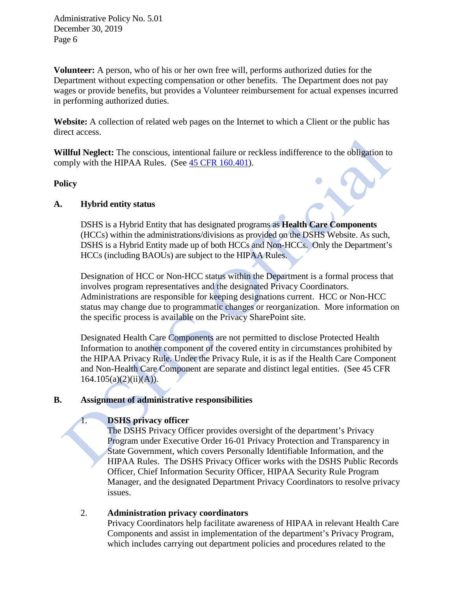**Volunteer:** A person, who of his or her own free will, performs authorized duties for the Department without expecting compensation or other benefits. The Department does not pay wages or provide benefits, but provides a Volunteer reimbursement for actual expenses incurred in performing authorized duties.

**Website:** A collection of related web pages on the Internet to which a Client or the public has direct access.

**Willful Neglect:** The conscious, intentional failure or reckless indifference to the obligation to comply with the HIPAA Rules. (See [45 CFR 160.401\)](http://www.hhs.gov/ocr/privacy/hipaa/administrative/combined/hipaa-simplification-201303.pdf).

### **Policy**

### **A. Hybrid entity status**

DSHS is a Hybrid Entity that has designated programs as **Health Care Components** (HCCs) within the administrations/divisions as provided on the DSHS Website. As such, DSHS is a Hybrid Entity made up of both HCCs and Non-HCCs. Only the Department's HCCs (including BAOUs) are subject to the HIPAA Rules.

Designation of HCC or Non-HCC status within the Department is a formal process that involves program representatives and the designated Privacy Coordinators. Administrations are responsible for keeping designations current. HCC or Non-HCC status may change due to programmatic changes or reorganization. More information on the specific process is available on the Privacy SharePoint site.

Designated Health Care Components are not permitted to disclose Protected Health Information to another component of the covered entity in circumstances prohibited by the HIPAA Privacy Rule. Under the Privacy Rule, it is as if the Health Care Component and Non-Health Care Component are separate and distinct legal entities. (See 45 CFR  $164.105(a)(2)(ii)(A)).$ 

### **B. Assignment of administrative responsibilities**

## 1. **DSHS privacy officer**

The DSHS Privacy Officer provides oversight of the department's Privacy Program under Executive Order 16-01 Privacy Protection and Transparency in State Government, which covers Personally Identifiable Information, and the HIPAA Rules. The DSHS Privacy Officer works with the DSHS Public Records Officer, Chief Information Security Officer, HIPAA Security Rule Program Manager, and the designated Department Privacy Coordinators to resolve privacy issues.

### 2. **Administration privacy coordinators**

Privacy Coordinators help facilitate awareness of HIPAA in relevant Health Care Components and assist in implementation of the department's Privacy Program, which includes carrying out department policies and procedures related to the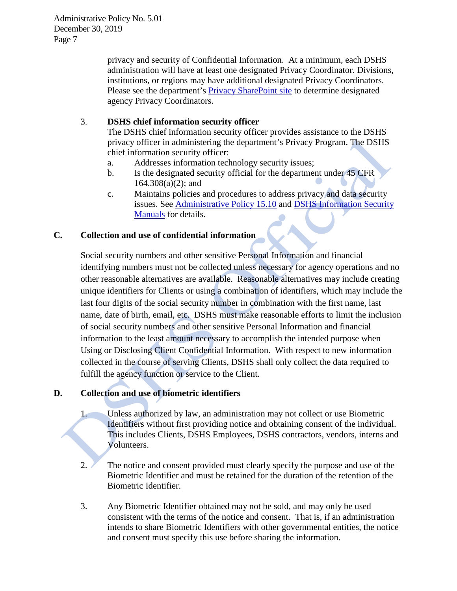> privacy and security of Confidential Information. At a minimum, each DSHS administration will have at least one designated Privacy Coordinator. Divisions, institutions, or regions may have additional designated Privacy Coordinators. Please see the department's [Privacy SharePoint site](http://one.dshs.wa.lcl/FS/Records/Privacy/Breach/Pages/default.aspx) to determine designated agency Privacy Coordinators.

### 3. **DSHS chief information security officer**

The DSHS chief information security officer provides assistance to the DSHS privacy officer in administering the department's Privacy Program. The DSHS chief information security officer:

- a. Addresses information technology security issues;
- b. Is the designated security official for the department under 45 CFR 164.308(a)(2); and
- c. Maintains policies and procedures to address privacy and data security issues. See [Administrative Policy 15.10](http://one.dshs.wa.lcl/Policies/Administrative/DSHS-AP-15-10.pdf) and [DSHS Information Security](http://ishare.dshs.wa.lcl/Security/Manuals/Pages/default.aspx)  [Manuals](http://ishare.dshs.wa.lcl/Security/Manuals/Pages/default.aspx) for details.

### **C. Collection and use of confidential information**

Social security numbers and other sensitive Personal Information and financial identifying numbers must not be collected unless necessary for agency operations and no other reasonable alternatives are available. Reasonable alternatives may include creating unique identifiers for Clients or using a combination of identifiers, which may include the last four digits of the social security number in combination with the first name, last name, date of birth, email, etc. DSHS must make reasonable efforts to limit the inclusion of social security numbers and other sensitive Personal Information and financial information to the least amount necessary to accomplish the intended purpose when Using or Disclosing Client Confidential Information. With respect to new information collected in the course of serving Clients, DSHS shall only collect the data required to fulfill the agency function or service to the Client.

## **D. Collection and use of biometric identifiers**

- 1. Unless authorized by law, an administration may not collect or use Biometric Identifiers without first providing notice and obtaining consent of the individual. This includes Clients, DSHS Employees, DSHS contractors, vendors, interns and Volunteers.
- 2. The notice and consent provided must clearly specify the purpose and use of the Biometric Identifier and must be retained for the duration of the retention of the Biometric Identifier.
- 3. Any Biometric Identifier obtained may not be sold, and may only be used consistent with the terms of the notice and consent. That is, if an administration intends to share Biometric Identifiers with other governmental entities, the notice and consent must specify this use before sharing the information.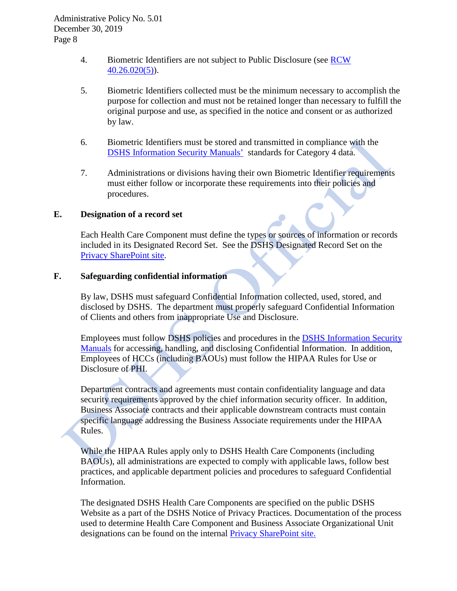- 4. Biometric Identifiers are not subject to Public Disclosure (see RCW  $40.26.020(5)$ ).
- 5. Biometric Identifiers collected must be the minimum necessary to accomplish the purpose for collection and must not be retained longer than necessary to fulfill the original purpose and use, as specified in the notice and consent or as authorized by law.
- 6. Biometric Identifiers must be stored and transmitted in compliance with the [DSHS Information Security Manuals'](http://ishare.dshs.wa.lcl/Security/Manuals) standards for Category 4 data.
- 7. Administrations or divisions having their own Biometric Identifier requirements must either follow or incorporate these requirements into their policies and procedures.

### **E. Designation of a record set**

Each Health Care Component must define the types or sources of information or records included in its Designated Record Set. See the DSHS Designated Record Set on the [Privacy SharePoint site.](http://one.dshs.wa.lcl/FS/Records/Privacy/Pages/HIPAA.aspx)

### **F. Safeguarding confidential information**

By law, DSHS must safeguard Confidential Information collected, used, stored, and disclosed by DSHS. The department must properly safeguard Confidential Information of Clients and others from inappropriate Use and Disclosure.

Employees must follow DSHS policies and procedures in the [DSHS Information Security](http://ishare.dshs.wa.lcl/Security/Manuals)  [Manuals](http://ishare.dshs.wa.lcl/Security/Manuals) for accessing, handling, and disclosing Confidential Information. In addition, Employees of HCCs (including BAOUs) must follow the HIPAA Rules for Use or Disclosure of PHI.

Department contracts and agreements must contain confidentiality language and data security requirements approved by the chief information security officer. In addition, Business Associate contracts and their applicable downstream contracts must contain specific language addressing the Business Associate requirements under the HIPAA Rules.

While the HIPAA Rules apply only to DSHS Health Care Components (including BAOUs), all administrations are expected to comply with applicable laws, follow best practices, and applicable department policies and procedures to safeguard Confidential Information.

The designated DSHS Health Care Components are specified on the public DSHS Website as a part of the DSHS Notice of Privacy Practices. Documentation of the process used to determine Health Care Component and Business Associate Organizational Unit designations can be found on the internal [Privacy SharePoint site.](http://one.dshs.wa.lcl/FS/Records/Privacy/Pages/HIPAA.aspx)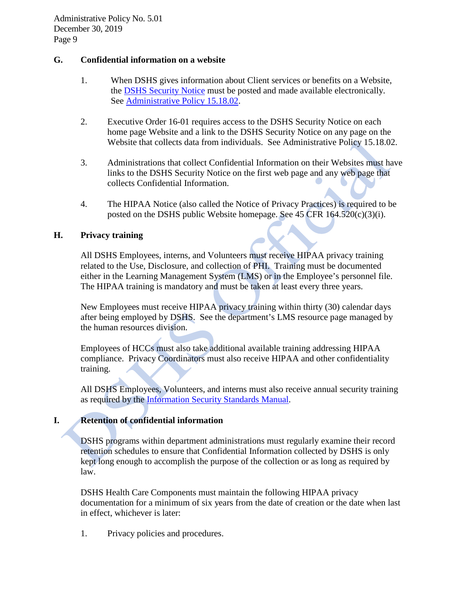### **G. Confidential information on a website**

- 1. When DSHS gives information about Client services or benefits on a Website, the [DSHS Security Notice](http://www.dshs.wa.gov/disclaim.shtml) must be posted and made available electronically. See [Administrative Policy 15.18.02.](http://one.dshs.wa.lcl/Policies/Administrative/DSHS-AP-15-18-02.pdf)
- 2. Executive Order 16-01 requires access to the DSHS Security Notice on each home page Website and a link to the DSHS Security Notice on any page on the Website that collects data from individuals. See Administrative Policy 15.18.02.
- 3. Administrations that collect Confidential Information on their Websites must have links to the DSHS Security Notice on the first web page and any web page that collects Confidential Information.
- 4. The HIPAA Notice (also called the Notice of Privacy Practices) is required to be posted on the DSHS public Website homepage. See  $45$  CFR  $164.520(c)(3)(i)$ .

### **H. Privacy training**

All DSHS Employees, interns, and Volunteers must receive HIPAA privacy training related to the Use, Disclosure, and collection of PHI. Training must be documented either in the Learning Management System (LMS) or in the Employee's personnel file. The HIPAA training is mandatory and must be taken at least every three years.

New Employees must receive HIPAA privacy training within thirty (30) calendar days after being employed by DSHS. See the department's LMS resource page managed by the human resources division.

Employees of HCCs must also take additional available training addressing HIPAA compliance. Privacy Coordinators must also receive HIPAA and other confidentiality training.

All DSHS Employees, Volunteers, and interns must also receive annual security training as required by the **Information Security Standards Manual**.

## **I. Retention of confidential information**

DSHS programs within department administrations must regularly examine their record retention schedules to ensure that Confidential Information collected by DSHS is only kept long enough to accomplish the purpose of the collection or as long as required by law.

DSHS Health Care Components must maintain the following HIPAA privacy documentation for a minimum of six years from the date of creation or the date when last in effect, whichever is later:

1. Privacy policies and procedures.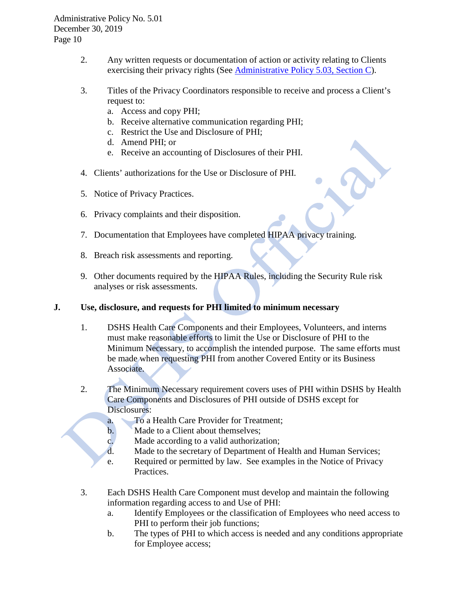- 2. Any written requests or documentation of action or activity relating to Clients exercising their privacy rights (See [Administrative Policy 5.03, Section C\)](http://one.dshs.wa.lcl/Policies/Administrative/DSHS-AP-05-03.pdf).
- 3. Titles of the Privacy Coordinators responsible to receive and process a Client's request to:
	- a. Access and copy PHI;
	- b. Receive alternative communication regarding PHI;
	- c. Restrict the Use and Disclosure of PHI;
	- d. Amend PHI; or
	- e. Receive an accounting of Disclosures of their PHI.
- 4. Clients' authorizations for the Use or Disclosure of PHI.
- 5. Notice of Privacy Practices.
- 6. Privacy complaints and their disposition.
- 7. Documentation that Employees have completed HIPAA privacy training.
- 8. Breach risk assessments and reporting.
- 9. Other documents required by the HIPAA Rules, including the Security Rule risk analyses or risk assessments.

## **J. Use, disclosure, and requests for PHI limited to minimum necessary**

- 1. DSHS Health Care Components and their Employees, Volunteers, and interns must make reasonable efforts to limit the Use or Disclosure of PHI to the Minimum Necessary, to accomplish the intended purpose. The same efforts must be made when requesting PHI from another Covered Entity or its Business Associate.
- 2. The Minimum Necessary requirement covers uses of PHI within DSHS by Health Care Components and Disclosures of PHI outside of DSHS except for Disclosures:
	- a. To a Health Care Provider for Treatment;
	- b. Made to a Client about themselves;
	- c. Made according to a valid authorization;
	- d. Made to the secretary of Department of Health and Human Services;
	- e. Required or permitted by law. See examples in the Notice of Privacy Practices.
- 3. Each DSHS Health Care Component must develop and maintain the following information regarding access to and Use of PHI:
	- a. Identify Employees or the classification of Employees who need access to PHI to perform their job functions;
	- b. The types of PHI to which access is needed and any conditions appropriate for Employee access;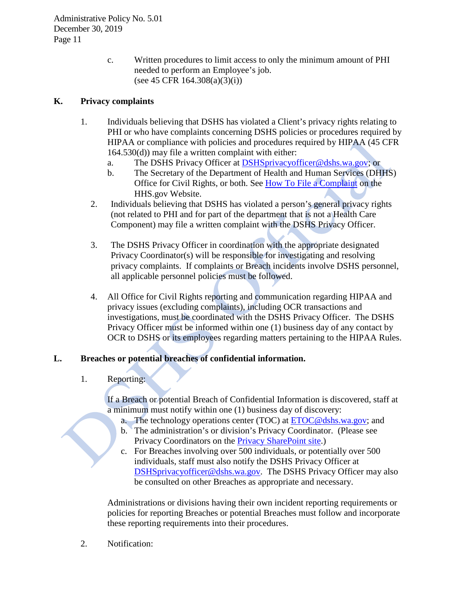c. Written procedures to limit access to only the minimum amount of PHI needed to perform an Employee's job. (see 45 CFR 164.308(a)(3)(i))

# **K. Privacy complaints**

- 1. Individuals believing that DSHS has violated a Client's privacy rights relating to PHI or who have complaints concerning DSHS policies or procedures required by HIPAA or compliance with policies and procedures required by HIPAA (45 CFR 164.530(d)) may file a written complaint with either:
	- a. The DSHS Privacy Officer at [DSHSprivacyofficer@dshs.wa.gov;](mailto:DSHSprivacyofficer@dshs.wa.gov) or
	- b. The Secretary of the Department of Health and Human Services (DHHS) Office for Civil Rights, or both. See [How To File a Complaint](http://www.hhs.gov/ocr/privacy/hipaa/complaints/index.html) on the HHS.gov Website.
	- 2. Individuals believing that DSHS has violated a person's general privacy rights (not related to PHI and for part of the department that is not a Health Care Component) may file a written complaint with the DSHS Privacy Officer.
	- 3. The DSHS Privacy Officer in coordination with the appropriate designated Privacy Coordinator(s) will be responsible for investigating and resolving privacy complaints. If complaints or Breach incidents involve DSHS personnel, all applicable personnel policies must be followed.
	- 4. All Office for Civil Rights reporting and communication regarding HIPAA and privacy issues (excluding complaints), including OCR transactions and investigations, must be coordinated with the DSHS Privacy Officer. The DSHS Privacy Officer must be informed within one (1) business day of any contact by OCR to DSHS or its employees regarding matters pertaining to the HIPAA Rules.

## **L. Breaches or potential breaches of confidential information.**

1. Reporting:

If a Breach or potential Breach of Confidential Information is discovered, staff at a minimum must notify within one (1) business day of discovery:

- a. The technology operations center (TOC) at [ETOC@dshs.wa.gov;](mailto:ETOC@dshs.wa.gov) and
- b. The administration's or division's Privacy Coordinator. (Please see Privacy Coordinators on the [Privacy SharePoint site.](http://one.dshs.wa.lcl/FS/Records/Privacy/Breach/Breaches/DSHS%20Privacy%20Coordinators.docx))
- c. For Breaches involving over 500 individuals, or potentially over 500 individuals, staff must also notify the DSHS Privacy Officer at [DSHSprivacyofficer@dshs.wa.gov.](mailto:DSHSprivacyofficer@dshs.wa.gov) The DSHS Privacy Officer may also be consulted on other Breaches as appropriate and necessary.

Administrations or divisions having their own incident reporting requirements or policies for reporting Breaches or potential Breaches must follow and incorporate these reporting requirements into their procedures.

2. Notification: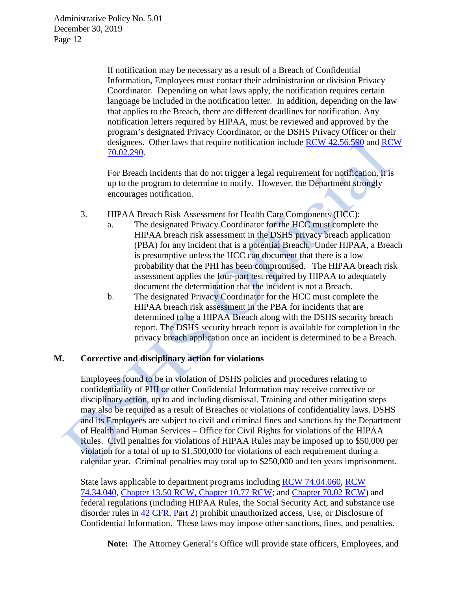> If notification may be necessary as a result of a Breach of Confidential Information, Employees must contact their administration or division Privacy Coordinator. Depending on what laws apply, the notification requires certain language be included in the notification letter. In addition, depending on the law that applies to the Breach, there are different deadlines for notification. Any notification letters required by HIPAA, must be reviewed and approved by the program's designated Privacy Coordinator, or the DSHS Privacy Officer or their designees. Other laws that require notification include [RCW 42.56.590](http://app.leg.wa.gov/RCW/default.aspx?cite=42.56.590) and [RCW](http://app.leg.wa.gov/RCW/default.aspx?cite=70.02.290)  [70.02.290.](http://app.leg.wa.gov/RCW/default.aspx?cite=70.02.290)

For Breach incidents that do not trigger a legal requirement for notification, it is up to the program to determine to notify. However, the Department strongly encourages notification.

- 3. HIPAA Breach Risk Assessment for Health Care Components (HCC):
	- a. The designated Privacy Coordinator for the HCC must complete the HIPAA breach risk assessment in the DSHS privacy breach application (PBA) for any incident that is a potential Breach. Under HIPAA, a Breach is presumptive unless the HCC can document that there is a low probability that the PHI has been compromised. The HIPAA breach risk assessment applies the four-part test required by HIPAA to adequately document the determination that the incident is not a Breach.
	- b. The designated Privacy Coordinator for the HCC must complete the HIPAA breach risk assessment in the PBA for incidents that are determined to be a HIPAA Breach along with the DSHS security breach report. The DSHS security breach report is available for completion in the privacy breach application once an incident is determined to be a Breach.

### **M. Corrective and disciplinary action for violations**

Employees found to be in violation of DSHS policies and procedures relating to confidentiality of PHI or other Confidential Information may receive corrective or disciplinary action, up to and including dismissal. Training and other mitigation steps may also be required as a result of Breaches or violations of confidentiality laws. DSHS and its Employees are subject to civil and criminal fines and sanctions by the Department of Health and Human Services – Office for Civil Rights for violations of the HIPAA Rules. Civil penalties for violations of HIPAA Rules may be imposed up to \$50,000 per violation for a total of up to \$1,500,000 for violations of each requirement during a calendar year. Criminal penalties may total up to \$250,000 and ten years imprisonment.

State laws applicable to department programs including [RCW 74.04.060,](https://www.google.com/url?sa=t&rct=j&q=&esrc=s&source=web&cd=1&cad=rja&uact=8&ved=0CB4QFjAA&url=http%3A%2F%2Fapp.leg.wa.gov%2Frcw%2Fdefault.aspx%3Fcite%3D74.04.060&ei=7bJbVK3tO4ixogTex4CIBQ&usg=AFQjCNG0Y95_ofaaCcoz-soOPl22N1I_JA&bvm=bv.79184187,bs.1,d.cGE) [RCW](https://app.leg.wa.gov/RCW/default.aspx?cite=74.34.040)  [74.34.040,](https://app.leg.wa.gov/RCW/default.aspx?cite=74.34.040) [Chapter 13.50 RCW,](https://www.google.com/url?sa=t&rct=j&q=&esrc=s&source=web&cd=1&cad=rja&uact=8&ved=0CB4QFjAA&url=http%3A%2F%2Fapp.leg.wa.gov%2Frcw%2Fdefault.aspx%3Fcite%3D13.50&ei=_7JbVKnpH9S4oQTNtYD4AQ&usg=AFQjCNGDPIRu-UJaVSi8gBO9veZ65WS0CQ&bvm=bv.79184187,bs.1,d.cGE) Chapter 10.77 RCW; and [Chapter 70.02 RCW\)](https://www.google.com/url?sa=t&rct=j&q=&esrc=s&source=web&cd=1&cad=rja&uact=8&ved=0CB4QFjAA&url=http%3A%2F%2Fapp.leg.wa.gov%2Frcw%2Fdefault.aspx%3FCite%3D70.02&ei=D7NbVN3AApHroASn6oKwDg&usg=AFQjCNFinOMCwtayN7btDesCYwSthyhJuA&bvm=bv.79184187,bs.1,d.cGE) and federal regulations (including HIPAA Rules, the Social Security Act, and substance use disorder rules in [42 CFR, Part 2\)](https://www.google.com/url?sa=t&rct=j&q=&esrc=s&source=web&cd=1&cad=rja&uact=8&ved=0CB4QFjAA&url=http%3A%2F%2Fwww.ecfr.gov%2Fcgi-bin%2Ftext-idx%3Frgn%3Ddiv5%3Bnode%3D42%253A1.0.1.1.2&ei=3rdbVOXoCpS4oQSb64GYCg&usg=AFQjCNHLlpgSlC0SUok7snV9meXZ9x7QWw) prohibit unauthorized access, Use, or Disclosure of Confidential Information. These laws may impose other sanctions, fines, and penalties.

**Note:** The Attorney General's Office will provide state officers, Employees, and